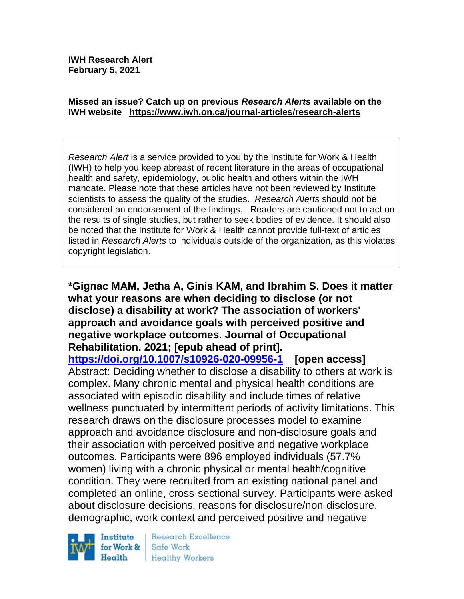#### **Missed an issue? Catch up on previous** *Research Alerts* **available on the [IWH website](http://www.iwh.on.ca/research-alerts) <https://www.iwh.on.ca/journal-articles/research-alerts>**

*Research Alert* is a service provided to you by the Institute for Work & Health (IWH) to help you keep abreast of recent literature in the areas of occupational health and safety, epidemiology, public health and others within the IWH mandate. Please note that these articles have not been reviewed by Institute scientists to assess the quality of the studies. *Research Alerts* should not be considered an endorsement of the findings. Readers are cautioned not to act on the results of single studies, but rather to seek bodies of evidence. It should also be noted that the Institute for Work & Health cannot provide full-text of articles listed in *Research Alerts* to individuals outside of the organization, as this violates copyright legislation.

**\*Gignac MAM, Jetha A, Ginis KAM, and Ibrahim S. Does it matter what your reasons are when deciding to disclose (or not disclose) a disability at work? The association of workers' approach and avoidance goals with perceived positive and negative workplace outcomes. Journal of Occupational Rehabilitation. 2021; [epub ahead of print].**

**<https://doi.org/10.1007/s10926-020-09956-1> [open access]**  Abstract: Deciding whether to disclose a disability to others at work is complex. Many chronic mental and physical health conditions are associated with episodic disability and include times of relative wellness punctuated by intermittent periods of activity limitations. This research draws on the disclosure processes model to examine approach and avoidance disclosure and non-disclosure goals and their association with perceived positive and negative workplace outcomes. Participants were 896 employed individuals (57.7% women) living with a chronic physical or mental health/cognitive condition. They were recruited from an existing national panel and completed an online, cross-sectional survey. Participants were asked about disclosure decisions, reasons for disclosure/non-disclosure, demographic, work context and perceived positive and negative



Research Excellence Safe Work Healthy Workers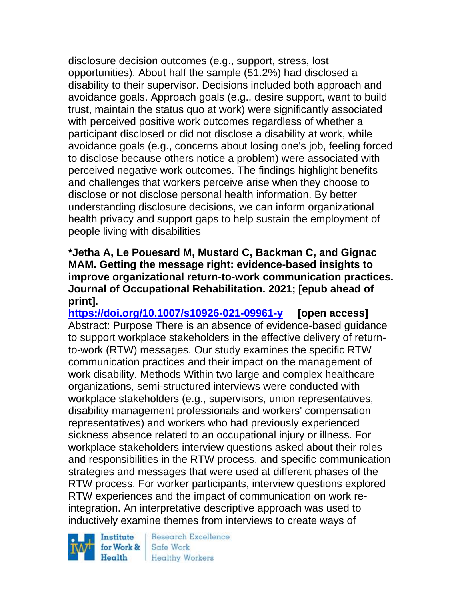disclosure decision outcomes (e.g., support, stress, lost opportunities). About half the sample (51.2%) had disclosed a disability to their supervisor. Decisions included both approach and avoidance goals. Approach goals (e.g., desire support, want to build trust, maintain the status quo at work) were significantly associated with perceived positive work outcomes regardless of whether a participant disclosed or did not disclose a disability at work, while avoidance goals (e.g., concerns about losing one's job, feeling forced to disclose because others notice a problem) were associated with perceived negative work outcomes. The findings highlight benefits and challenges that workers perceive arise when they choose to disclose or not disclose personal health information. By better understanding disclosure decisions, we can inform organizational health privacy and support gaps to help sustain the employment of people living with disabilities

### **\*Jetha A, Le Pouesard M, Mustard C, Backman C, and Gignac MAM. Getting the message right: evidence-based insights to improve organizational return-to-work communication practices. Journal of Occupational Rehabilitation. 2021; [epub ahead of print].**

**<https://doi.org/10.1007/s10926-021-09961-y> [open access]** Abstract: Purpose There is an absence of evidence-based guidance to support workplace stakeholders in the effective delivery of returnto-work (RTW) messages. Our study examines the specific RTW communication practices and their impact on the management of work disability. Methods Within two large and complex healthcare organizations, semi-structured interviews were conducted with workplace stakeholders (e.g., supervisors, union representatives, disability management professionals and workers' compensation representatives) and workers who had previously experienced sickness absence related to an occupational injury or illness. For workplace stakeholders interview questions asked about their roles and responsibilities in the RTW process, and specific communication strategies and messages that were used at different phases of the RTW process. For worker participants, interview questions explored RTW experiences and the impact of communication on work reintegration. An interpretative descriptive approach was used to inductively examine themes from interviews to create ways of

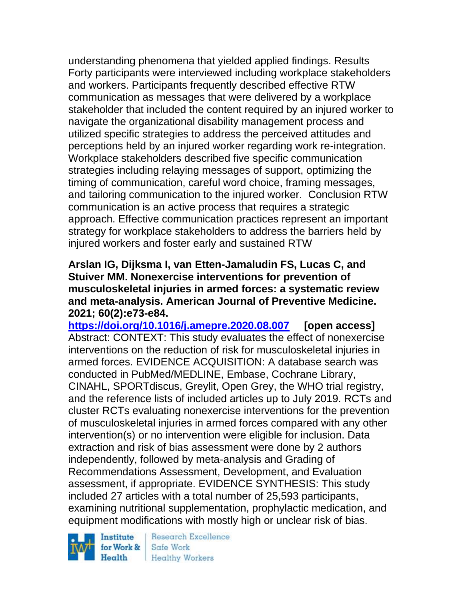understanding phenomena that yielded applied findings. Results Forty participants were interviewed including workplace stakeholders and workers. Participants frequently described effective RTW communication as messages that were delivered by a workplace stakeholder that included the content required by an injured worker to navigate the organizational disability management process and utilized specific strategies to address the perceived attitudes and perceptions held by an injured worker regarding work re-integration. Workplace stakeholders described five specific communication strategies including relaying messages of support, optimizing the timing of communication, careful word choice, framing messages, and tailoring communication to the injured worker. Conclusion RTW communication is an active process that requires a strategic approach. Effective communication practices represent an important strategy for workplace stakeholders to address the barriers held by injured workers and foster early and sustained RTW

#### **Arslan IG, Dijksma I, van Etten-Jamaludin FS, Lucas C, and Stuiver MM. Nonexercise interventions for prevention of musculoskeletal injuries in armed forces: a systematic review and meta-analysis. American Journal of Preventive Medicine. 2021; 60(2):e73-e84.**

**<https://doi.org/10.1016/j.amepre.2020.08.007> [open access]** Abstract: CONTEXT: This study evaluates the effect of nonexercise interventions on the reduction of risk for musculoskeletal injuries in armed forces. EVIDENCE ACQUISITION: A database search was conducted in PubMed/MEDLINE, Embase, Cochrane Library, CINAHL, SPORTdiscus, Greylit, Open Grey, the WHO trial registry, and the reference lists of included articles up to July 2019. RCTs and cluster RCTs evaluating nonexercise interventions for the prevention of musculoskeletal injuries in armed forces compared with any other intervention(s) or no intervention were eligible for inclusion. Data extraction and risk of bias assessment were done by 2 authors independently, followed by meta-analysis and Grading of Recommendations Assessment, Development, and Evaluation assessment, if appropriate. EVIDENCE SYNTHESIS: This study included 27 articles with a total number of 25,593 participants, examining nutritional supplementation, prophylactic medication, and equipment modifications with mostly high or unclear risk of bias.

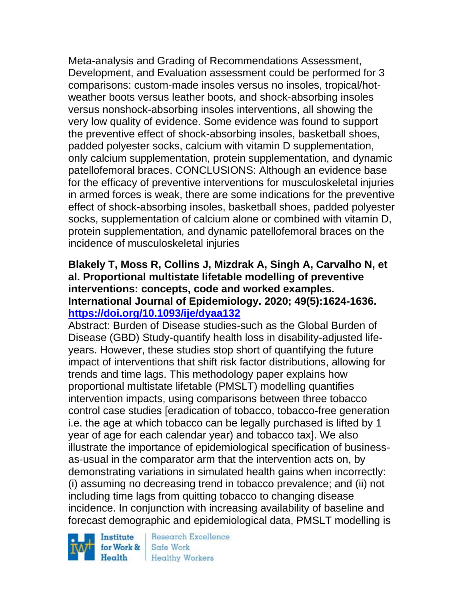Meta-analysis and Grading of Recommendations Assessment, Development, and Evaluation assessment could be performed for 3 comparisons: custom-made insoles versus no insoles, tropical/hotweather boots versus leather boots, and shock-absorbing insoles versus nonshock-absorbing insoles interventions, all showing the very low quality of evidence. Some evidence was found to support the preventive effect of shock-absorbing insoles, basketball shoes, padded polyester socks, calcium with vitamin D supplementation, only calcium supplementation, protein supplementation, and dynamic patellofemoral braces. CONCLUSIONS: Although an evidence base for the efficacy of preventive interventions for musculoskeletal injuries in armed forces is weak, there are some indications for the preventive effect of shock-absorbing insoles, basketball shoes, padded polyester socks, supplementation of calcium alone or combined with vitamin D, protein supplementation, and dynamic patellofemoral braces on the incidence of musculoskeletal injuries

### **Blakely T, Moss R, Collins J, Mizdrak A, Singh A, Carvalho N, et al. Proportional multistate lifetable modelling of preventive interventions: concepts, code and worked examples. International Journal of Epidemiology. 2020; 49(5):1624-1636. <https://doi.org/10.1093/ije/dyaa132>**

Abstract: Burden of Disease studies-such as the Global Burden of Disease (GBD) Study-quantify health loss in disability-adjusted lifeyears. However, these studies stop short of quantifying the future impact of interventions that shift risk factor distributions, allowing for trends and time lags. This methodology paper explains how proportional multistate lifetable (PMSLT) modelling quantifies intervention impacts, using comparisons between three tobacco control case studies [eradication of tobacco, tobacco-free generation i.e. the age at which tobacco can be legally purchased is lifted by 1 year of age for each calendar year) and tobacco tax]. We also illustrate the importance of epidemiological specification of businessas-usual in the comparator arm that the intervention acts on, by demonstrating variations in simulated health gains when incorrectly: (i) assuming no decreasing trend in tobacco prevalence; and (ii) not including time lags from quitting tobacco to changing disease incidence. In conjunction with increasing availability of baseline and forecast demographic and epidemiological data, PMSLT modelling is

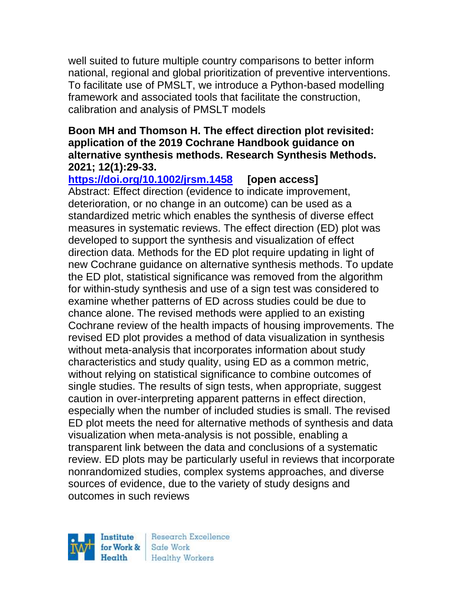well suited to future multiple country comparisons to better inform national, regional and global prioritization of preventive interventions. To facilitate use of PMSLT, we introduce a Python-based modelling framework and associated tools that facilitate the construction, calibration and analysis of PMSLT models

#### **Boon MH and Thomson H. The effect direction plot revisited: application of the 2019 Cochrane Handbook guidance on alternative synthesis methods. Research Synthesis Methods. 2021; 12(1):29-33.**

**<https://doi.org/10.1002/jrsm.1458> [open access]** Abstract: Effect direction (evidence to indicate improvement, deterioration, or no change in an outcome) can be used as a standardized metric which enables the synthesis of diverse effect measures in systematic reviews. The effect direction (ED) plot was developed to support the synthesis and visualization of effect direction data. Methods for the ED plot require updating in light of new Cochrane guidance on alternative synthesis methods. To update the ED plot, statistical significance was removed from the algorithm for within-study synthesis and use of a sign test was considered to examine whether patterns of ED across studies could be due to chance alone. The revised methods were applied to an existing Cochrane review of the health impacts of housing improvements. The revised ED plot provides a method of data visualization in synthesis without meta-analysis that incorporates information about study characteristics and study quality, using ED as a common metric, without relying on statistical significance to combine outcomes of single studies. The results of sign tests, when appropriate, suggest caution in over-interpreting apparent patterns in effect direction, especially when the number of included studies is small. The revised ED plot meets the need for alternative methods of synthesis and data visualization when meta-analysis is not possible, enabling a transparent link between the data and conclusions of a systematic review. ED plots may be particularly useful in reviews that incorporate nonrandomized studies, complex systems approaches, and diverse sources of evidence, due to the variety of study designs and outcomes in such reviews

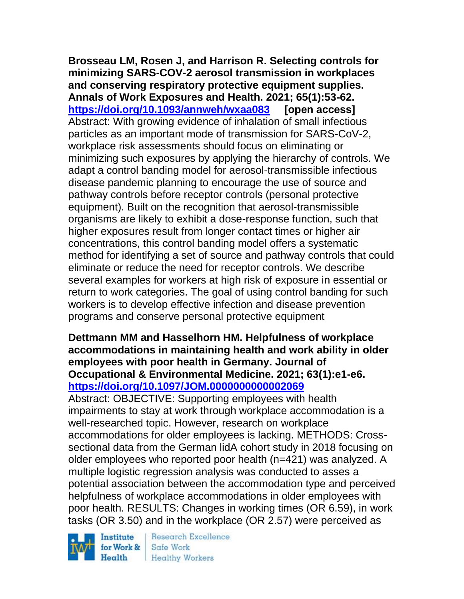**Brosseau LM, Rosen J, and Harrison R. Selecting controls for minimizing SARS-COV-2 aerosol transmission in workplaces and conserving respiratory protective equipment supplies. Annals of Work Exposures and Health. 2021; 65(1):53-62. <https://doi.org/10.1093/annweh/wxaa083> [open access]** Abstract: With growing evidence of inhalation of small infectious particles as an important mode of transmission for SARS-CoV-2, workplace risk assessments should focus on eliminating or minimizing such exposures by applying the hierarchy of controls. We adapt a control banding model for aerosol-transmissible infectious disease pandemic planning to encourage the use of source and pathway controls before receptor controls (personal protective equipment). Built on the recognition that aerosol-transmissible organisms are likely to exhibit a dose-response function, such that higher exposures result from longer contact times or higher air concentrations, this control banding model offers a systematic method for identifying a set of source and pathway controls that could eliminate or reduce the need for receptor controls. We describe several examples for workers at high risk of exposure in essential or return to work categories. The goal of using control banding for such workers is to develop effective infection and disease prevention programs and conserve personal protective equipment

### **Dettmann MM and Hasselhorn HM. Helpfulness of workplace accommodations in maintaining health and work ability in older employees with poor health in Germany. Journal of Occupational & Environmental Medicine. 2021; 63(1):e1-e6. <https://doi.org/10.1097/JOM.0000000000002069>**

Abstract: OBJECTIVE: Supporting employees with health impairments to stay at work through workplace accommodation is a well-researched topic. However, research on workplace accommodations for older employees is lacking. METHODS: Crosssectional data from the German lidA cohort study in 2018 focusing on older employees who reported poor health (n=421) was analyzed. A multiple logistic regression analysis was conducted to asses a potential association between the accommodation type and perceived helpfulness of workplace accommodations in older employees with poor health. RESULTS: Changes in working times (OR 6.59), in work tasks (OR 3.50) and in the workplace (OR 2.57) were perceived as

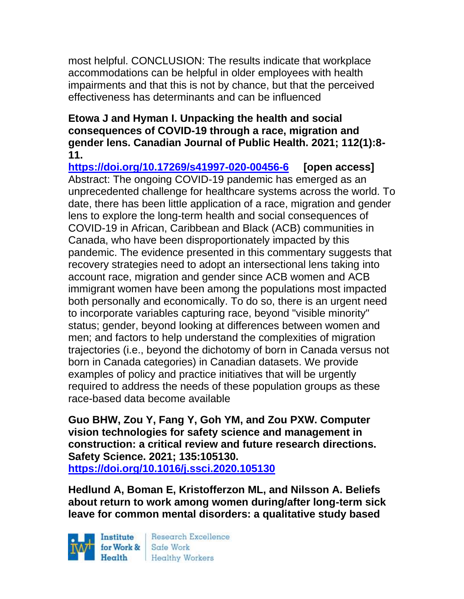most helpful. CONCLUSION: The results indicate that workplace accommodations can be helpful in older employees with health impairments and that this is not by chance, but that the perceived effectiveness has determinants and can be influenced

#### **Etowa J and Hyman I. Unpacking the health and social consequences of COVID-19 through a race, migration and gender lens. Canadian Journal of Public Health. 2021; 112(1):8- 11.**

**<https://doi.org/10.17269/s41997-020-00456-6> [open access]** Abstract: The ongoing COVID-19 pandemic has emerged as an unprecedented challenge for healthcare systems across the world. To date, there has been little application of a race, migration and gender lens to explore the long-term health and social consequences of COVID-19 in African, Caribbean and Black (ACB) communities in Canada, who have been disproportionately impacted by this pandemic. The evidence presented in this commentary suggests that recovery strategies need to adopt an intersectional lens taking into account race, migration and gender since ACB women and ACB immigrant women have been among the populations most impacted both personally and economically. To do so, there is an urgent need to incorporate variables capturing race, beyond "visible minority" status; gender, beyond looking at differences between women and men; and factors to help understand the complexities of migration trajectories (i.e., beyond the dichotomy of born in Canada versus not born in Canada categories) in Canadian datasets. We provide examples of policy and practice initiatives that will be urgently required to address the needs of these population groups as these race-based data become available

**Guo BHW, Zou Y, Fang Y, Goh YM, and Zou PXW. Computer vision technologies for safety science and management in construction: a critical review and future research directions. Safety Science. 2021; 135:105130. <https://doi.org/10.1016/j.ssci.2020.105130>** 

**Hedlund A, Boman E, Kristofferzon ML, and Nilsson A. Beliefs about return to work among women during/after long-term sick leave for common mental disorders: a qualitative study based** 

Institute Health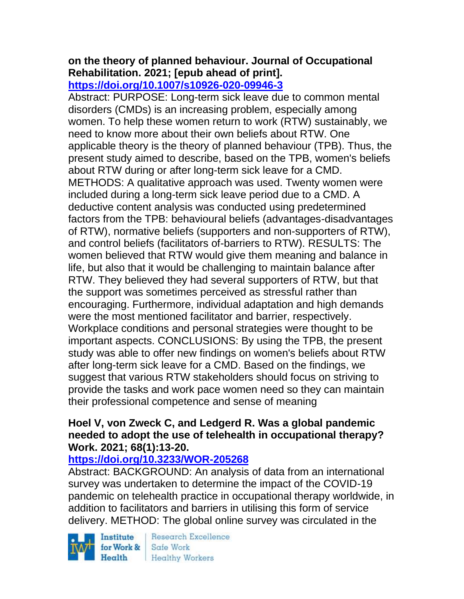#### **on the theory of planned behaviour. Journal of Occupational Rehabilitation. 2021; [epub ahead of print]. <https://doi.org/10.1007/s10926-020-09946-3>**

Abstract: PURPOSE: Long-term sick leave due to common mental disorders (CMDs) is an increasing problem, especially among women. To help these women return to work (RTW) sustainably, we need to know more about their own beliefs about RTW. One applicable theory is the theory of planned behaviour (TPB). Thus, the present study aimed to describe, based on the TPB, women's beliefs about RTW during or after long-term sick leave for a CMD. METHODS: A qualitative approach was used. Twenty women were included during a long-term sick leave period due to a CMD. A deductive content analysis was conducted using predetermined factors from the TPB: behavioural beliefs (advantages-disadvantages of RTW), normative beliefs (supporters and non-supporters of RTW), and control beliefs (facilitators of-barriers to RTW). RESULTS: The women believed that RTW would give them meaning and balance in life, but also that it would be challenging to maintain balance after RTW. They believed they had several supporters of RTW, but that the support was sometimes perceived as stressful rather than encouraging. Furthermore, individual adaptation and high demands were the most mentioned facilitator and barrier, respectively. Workplace conditions and personal strategies were thought to be important aspects. CONCLUSIONS: By using the TPB, the present study was able to offer new findings on women's beliefs about RTW after long-term sick leave for a CMD. Based on the findings, we suggest that various RTW stakeholders should focus on striving to provide the tasks and work pace women need so they can maintain their professional competence and sense of meaning

### **Hoel V, von Zweck C, and Ledgerd R. Was a global pandemic needed to adopt the use of telehealth in occupational therapy? Work. 2021; 68(1):13-20.**

## **<https://doi.org/10.3233/WOR-205268>**

Abstract: BACKGROUND: An analysis of data from an international survey was undertaken to determine the impact of the COVID-19 pandemic on telehealth practice in occupational therapy worldwide, in addition to facilitators and barriers in utilising this form of service delivery. METHOD: The global online survey was circulated in the

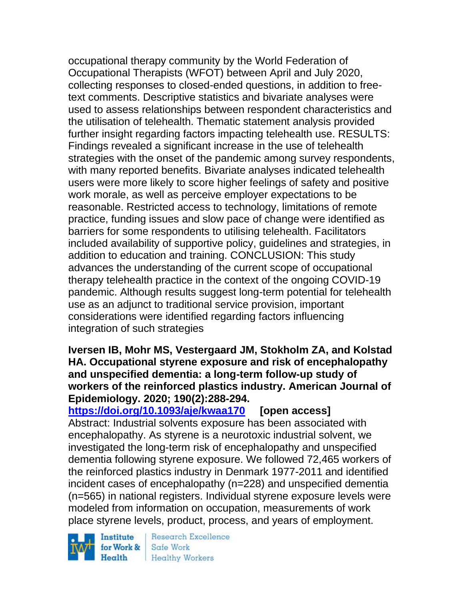occupational therapy community by the World Federation of Occupational Therapists (WFOT) between April and July 2020, collecting responses to closed-ended questions, in addition to freetext comments. Descriptive statistics and bivariate analyses were used to assess relationships between respondent characteristics and the utilisation of telehealth. Thematic statement analysis provided further insight regarding factors impacting telehealth use. RESULTS: Findings revealed a significant increase in the use of telehealth strategies with the onset of the pandemic among survey respondents, with many reported benefits. Bivariate analyses indicated telehealth users were more likely to score higher feelings of safety and positive work morale, as well as perceive employer expectations to be reasonable. Restricted access to technology, limitations of remote practice, funding issues and slow pace of change were identified as barriers for some respondents to utilising telehealth. Facilitators included availability of supportive policy, guidelines and strategies, in addition to education and training. CONCLUSION: This study advances the understanding of the current scope of occupational therapy telehealth practice in the context of the ongoing COVID-19 pandemic. Although results suggest long-term potential for telehealth use as an adjunct to traditional service provision, important considerations were identified regarding factors influencing integration of such strategies

**Iversen IB, Mohr MS, Vestergaard JM, Stokholm ZA, and Kolstad HA. Occupational styrene exposure and risk of encephalopathy and unspecified dementia: a long-term follow-up study of workers of the reinforced plastics industry. American Journal of Epidemiology. 2020; 190(2):288-294.** 

**<https://doi.org/10.1093/aje/kwaa170> [open access]** Abstract: Industrial solvents exposure has been associated with encephalopathy. As styrene is a neurotoxic industrial solvent, we investigated the long-term risk of encephalopathy and unspecified dementia following styrene exposure. We followed 72,465 workers of the reinforced plastics industry in Denmark 1977-2011 and identified incident cases of encephalopathy (n=228) and unspecified dementia (n=565) in national registers. Individual styrene exposure levels were modeled from information on occupation, measurements of work place styrene levels, product, process, and years of employment.

Institute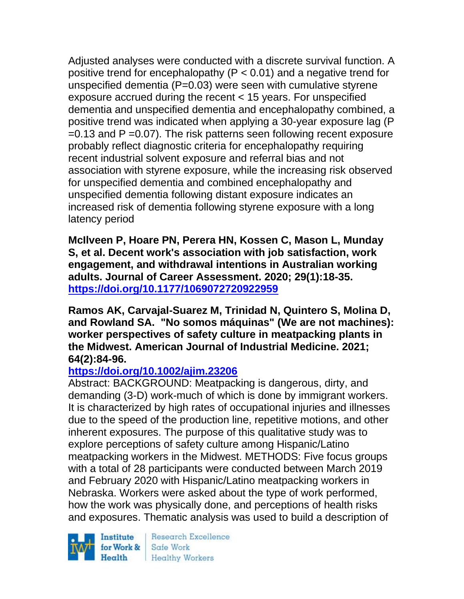Adjusted analyses were conducted with a discrete survival function. A positive trend for encephalopathy ( $P < 0.01$ ) and a negative trend for unspecified dementia (P=0.03) were seen with cumulative styrene exposure accrued during the recent < 15 years. For unspecified dementia and unspecified dementia and encephalopathy combined, a positive trend was indicated when applying a 30-year exposure lag (P  $=0.13$  and P  $=0.07$ ). The risk patterns seen following recent exposure probably reflect diagnostic criteria for encephalopathy requiring recent industrial solvent exposure and referral bias and not association with styrene exposure, while the increasing risk observed for unspecified dementia and combined encephalopathy and unspecified dementia following distant exposure indicates an increased risk of dementia following styrene exposure with a long latency period

**McIlveen P, Hoare PN, Perera HN, Kossen C, Mason L, Munday S, et al. Decent work's association with job satisfaction, work engagement, and withdrawal intentions in Australian working adults. Journal of Career Assessment. 2020; 29(1):18-35. <https://doi.org/10.1177/1069072720922959>** 

**Ramos AK, Carvajal-Suarez M, Trinidad N, Quintero S, Molina D, and Rowland SA. "No somos máquinas" (We are not machines): worker perspectives of safety culture in meatpacking plants in the Midwest. American Journal of Industrial Medicine. 2021; 64(2):84-96.** 

## **<https://doi.org/10.1002/ajim.23206>**

Abstract: BACKGROUND: Meatpacking is dangerous, dirty, and demanding (3-D) work-much of which is done by immigrant workers. It is characterized by high rates of occupational injuries and illnesses due to the speed of the production line, repetitive motions, and other inherent exposures. The purpose of this qualitative study was to explore perceptions of safety culture among Hispanic/Latino meatpacking workers in the Midwest. METHODS: Five focus groups with a total of 28 participants were conducted between March 2019 and February 2020 with Hispanic/Latino meatpacking workers in Nebraska. Workers were asked about the type of work performed, how the work was physically done, and perceptions of health risks and exposures. Thematic analysis was used to build a description of

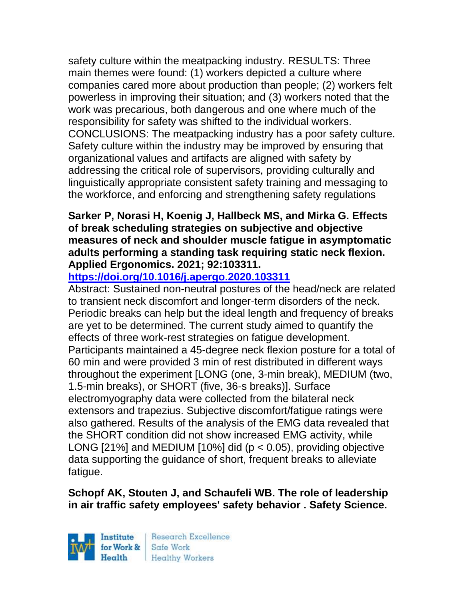safety culture within the meatpacking industry. RESULTS: Three main themes were found: (1) workers depicted a culture where companies cared more about production than people; (2) workers felt powerless in improving their situation; and (3) workers noted that the work was precarious, both dangerous and one where much of the responsibility for safety was shifted to the individual workers. CONCLUSIONS: The meatpacking industry has a poor safety culture. Safety culture within the industry may be improved by ensuring that organizational values and artifacts are aligned with safety by addressing the critical role of supervisors, providing culturally and linguistically appropriate consistent safety training and messaging to the workforce, and enforcing and strengthening safety regulations

### **Sarker P, Norasi H, Koenig J, Hallbeck MS, and Mirka G. Effects of break scheduling strategies on subjective and objective measures of neck and shoulder muscle fatigue in asymptomatic adults performing a standing task requiring static neck flexion. Applied Ergonomics. 2021; 92:103311.**

# **<https://doi.org/10.1016/j.apergo.2020.103311>**

Abstract: Sustained non-neutral postures of the head/neck are related to transient neck discomfort and longer-term disorders of the neck. Periodic breaks can help but the ideal length and frequency of breaks are yet to be determined. The current study aimed to quantify the effects of three work-rest strategies on fatigue development. Participants maintained a 45-degree neck flexion posture for a total of 60 min and were provided 3 min of rest distributed in different ways throughout the experiment [LONG (one, 3-min break), MEDIUM (two, 1.5-min breaks), or SHORT (five, 36-s breaks)]. Surface electromyography data were collected from the bilateral neck extensors and trapezius. Subjective discomfort/fatigue ratings were also gathered. Results of the analysis of the EMG data revealed that the SHORT condition did not show increased EMG activity, while LONG  $[21\%]$  and MEDIUM  $[10\%]$  did ( $p < 0.05$ ), providing objective data supporting the guidance of short, frequent breaks to alleviate fatigue.

## **Schopf AK, Stouten J, and Schaufeli WB. The role of leadership in air traffic safety employees' safety behavior . Safety Science.**

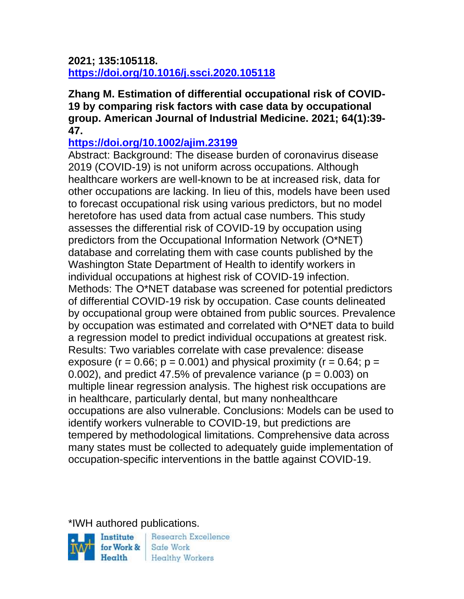#### **2021; 135:105118. <https://doi.org/10.1016/j.ssci.2020.105118>**

**Zhang M. Estimation of differential occupational risk of COVID-19 by comparing risk factors with case data by occupational group. American Journal of Industrial Medicine. 2021; 64(1):39- 47.** 

## **<https://doi.org/10.1002/ajim.23199>**

Abstract: Background: The disease burden of coronavirus disease 2019 (COVID-19) is not uniform across occupations. Although healthcare workers are well-known to be at increased risk, data for other occupations are lacking. In lieu of this, models have been used to forecast occupational risk using various predictors, but no model heretofore has used data from actual case numbers. This study assesses the differential risk of COVID-19 by occupation using predictors from the Occupational Information Network (O\*NET) database and correlating them with case counts published by the Washington State Department of Health to identify workers in individual occupations at highest risk of COVID-19 infection. Methods: The O\*NET database was screened for potential predictors of differential COVID-19 risk by occupation. Case counts delineated by occupational group were obtained from public sources. Prevalence by occupation was estimated and correlated with O\*NET data to build a regression model to predict individual occupations at greatest risk. Results: Two variables correlate with case prevalence: disease exposure ( $r = 0.66$ ;  $p = 0.001$ ) and physical proximity ( $r = 0.64$ ;  $p =$ 0.002), and predict 47.5% of prevalence variance ( $p = 0.003$ ) on multiple linear regression analysis. The highest risk occupations are in healthcare, particularly dental, but many nonhealthcare occupations are also vulnerable. Conclusions: Models can be used to identify workers vulnerable to COVID-19, but predictions are tempered by methodological limitations. Comprehensive data across many states must be collected to adequately guide implementation of occupation-specific interventions in the battle against COVID-19.

\*IWH authored publications.